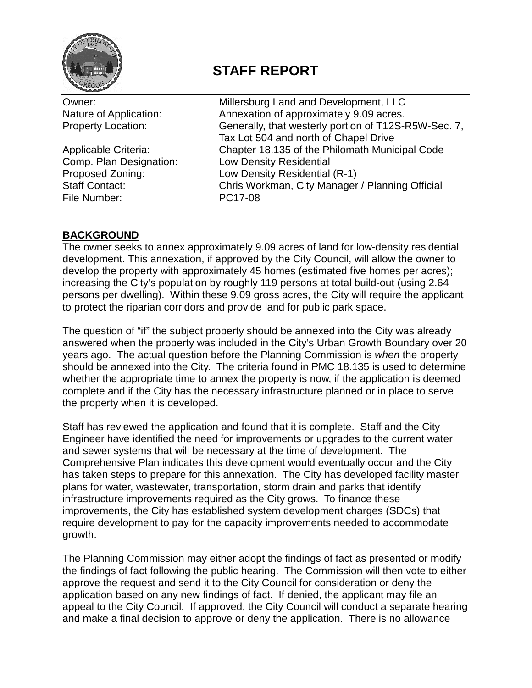

# **STAFF REPORT**

| Owner:                    | Millersburg Land and Development, LLC                |  |  |
|---------------------------|------------------------------------------------------|--|--|
| Nature of Application:    | Annexation of approximately 9.09 acres.              |  |  |
| <b>Property Location:</b> | Generally, that westerly portion of T12S-R5W-Sec. 7, |  |  |
|                           | Tax Lot 504 and north of Chapel Drive                |  |  |
| Applicable Criteria:      | Chapter 18.135 of the Philomath Municipal Code       |  |  |
| Comp. Plan Designation:   | <b>Low Density Residential</b>                       |  |  |
| Proposed Zoning:          | Low Density Residential (R-1)                        |  |  |
| <b>Staff Contact:</b>     | Chris Workman, City Manager / Planning Official      |  |  |
| File Number:              | PC17-08                                              |  |  |
|                           |                                                      |  |  |

# **BACKGROUND**

The owner seeks to annex approximately 9.09 acres of land for low-density residential development. This annexation, if approved by the City Council, will allow the owner to develop the property with approximately 45 homes (estimated five homes per acres); increasing the City's population by roughly 119 persons at total build-out (using 2.64 persons per dwelling). Within these 9.09 gross acres, the City will require the applicant to protect the riparian corridors and provide land for public park space.

The question of "if" the subject property should be annexed into the City was already answered when the property was included in the City's Urban Growth Boundary over 20 years ago. The actual question before the Planning Commission is *when* the property should be annexed into the City. The criteria found in PMC 18.135 is used to determine whether the appropriate time to annex the property is now, if the application is deemed complete and if the City has the necessary infrastructure planned or in place to serve the property when it is developed.

Staff has reviewed the application and found that it is complete. Staff and the City Engineer have identified the need for improvements or upgrades to the current water and sewer systems that will be necessary at the time of development. The Comprehensive Plan indicates this development would eventually occur and the City has taken steps to prepare for this annexation. The City has developed facility master plans for water, wastewater, transportation, storm drain and parks that identify infrastructure improvements required as the City grows. To finance these improvements, the City has established system development charges (SDCs) that require development to pay for the capacity improvements needed to accommodate growth.

The Planning Commission may either adopt the findings of fact as presented or modify the findings of fact following the public hearing. The Commission will then vote to either approve the request and send it to the City Council for consideration or deny the application based on any new findings of fact. If denied, the applicant may file an appeal to the City Council. If approved, the City Council will conduct a separate hearing and make a final decision to approve or deny the application. There is no allowance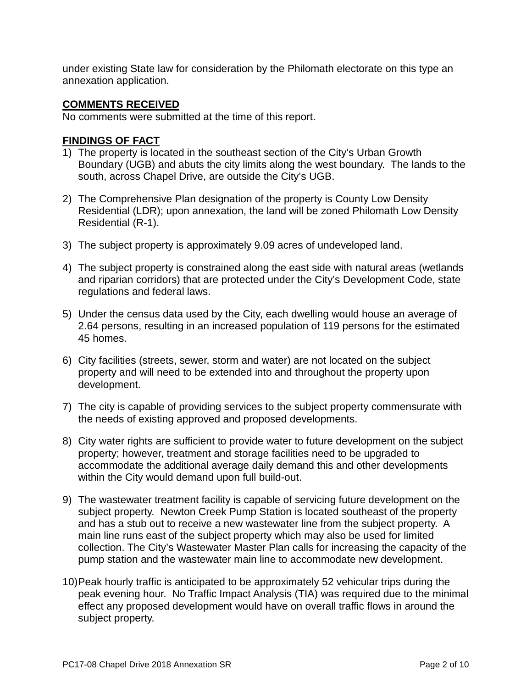under existing State law for consideration by the Philomath electorate on this type an annexation application.

#### **COMMENTS RECEIVED**

No comments were submitted at the time of this report.

## **FINDINGS OF FACT**

- 1) The property is located in the southeast section of the City's Urban Growth Boundary (UGB) and abuts the city limits along the west boundary. The lands to the south, across Chapel Drive, are outside the City's UGB.
- 2) The Comprehensive Plan designation of the property is County Low Density Residential (LDR); upon annexation, the land will be zoned Philomath Low Density Residential (R-1).
- 3) The subject property is approximately 9.09 acres of undeveloped land.
- 4) The subject property is constrained along the east side with natural areas (wetlands and riparian corridors) that are protected under the City's Development Code, state regulations and federal laws.
- 5) Under the census data used by the City, each dwelling would house an average of 2.64 persons, resulting in an increased population of 119 persons for the estimated 45 homes.
- 6) City facilities (streets, sewer, storm and water) are not located on the subject property and will need to be extended into and throughout the property upon development.
- 7) The city is capable of providing services to the subject property commensurate with the needs of existing approved and proposed developments.
- 8) City water rights are sufficient to provide water to future development on the subject property; however, treatment and storage facilities need to be upgraded to accommodate the additional average daily demand this and other developments within the City would demand upon full build-out.
- 9) The wastewater treatment facility is capable of servicing future development on the subject property. Newton Creek Pump Station is located southeast of the property and has a stub out to receive a new wastewater line from the subject property. A main line runs east of the subject property which may also be used for limited collection. The City's Wastewater Master Plan calls for increasing the capacity of the pump station and the wastewater main line to accommodate new development.
- 10)Peak hourly traffic is anticipated to be approximately 52 vehicular trips during the peak evening hour. No Traffic Impact Analysis (TIA) was required due to the minimal effect any proposed development would have on overall traffic flows in around the subject property.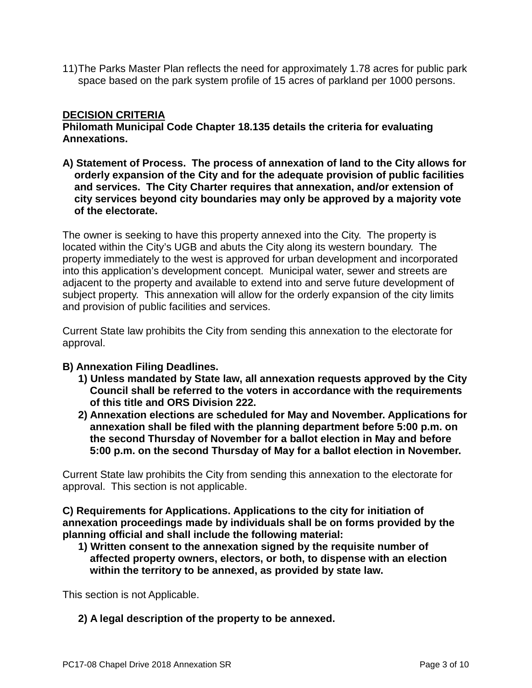11)The Parks Master Plan reflects the need for approximately 1.78 acres for public park space based on the park system profile of 15 acres of parkland per 1000 persons.

## **DECISION CRITERIA**

**Philomath Municipal Code Chapter 18.135 details the criteria for evaluating Annexations.**

**A) Statement of Process. The process of annexation of land to the City allows for orderly expansion of the City and for the adequate provision of public facilities and services. The City Charter requires that annexation, and/or extension of city services beyond city boundaries may only be approved by a majority vote of the electorate.**

The owner is seeking to have this property annexed into the City. The property is located within the City's UGB and abuts the City along its western boundary. The property immediately to the west is approved for urban development and incorporated into this application's development concept. Municipal water, sewer and streets are adjacent to the property and available to extend into and serve future development of subject property. This annexation will allow for the orderly expansion of the city limits and provision of public facilities and services.

Current State law prohibits the City from sending this annexation to the electorate for approval.

## **B) Annexation Filing Deadlines.**

- **1) Unless mandated by State law, all annexation requests approved by the City Council shall be referred to the voters in accordance with the requirements of this title and ORS Division 222.**
- **2) Annexation elections are scheduled for May and November. Applications for annexation shall be filed with the planning department before 5:00 p.m. on the second Thursday of November for a ballot election in May and before 5:00 p.m. on the second Thursday of May for a ballot election in November.**

Current State law prohibits the City from sending this annexation to the electorate for approval. This section is not applicable.

**C) Requirements for Applications. Applications to the city for initiation of annexation proceedings made by individuals shall be on forms provided by the planning official and shall include the following material:**

**1) Written consent to the annexation signed by the requisite number of affected property owners, electors, or both, to dispense with an election within the territory to be annexed, as provided by state law.**

This section is not Applicable.

**2) A legal description of the property to be annexed.**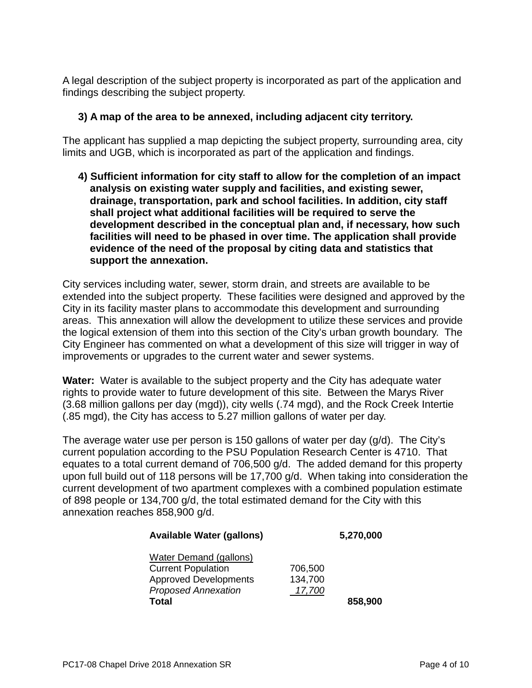A legal description of the subject property is incorporated as part of the application and findings describing the subject property.

## **3) A map of the area to be annexed, including adjacent city territory.**

The applicant has supplied a map depicting the subject property, surrounding area, city limits and UGB, which is incorporated as part of the application and findings.

**4) Sufficient information for city staff to allow for the completion of an impact analysis on existing water supply and facilities, and existing sewer, drainage, transportation, park and school facilities. In addition, city staff shall project what additional facilities will be required to serve the development described in the conceptual plan and, if necessary, how such facilities will need to be phased in over time. The application shall provide evidence of the need of the proposal by citing data and statistics that support the annexation.**

City services including water, sewer, storm drain, and streets are available to be extended into the subject property. These facilities were designed and approved by the City in its facility master plans to accommodate this development and surrounding areas. This annexation will allow the development to utilize these services and provide the logical extension of them into this section of the City's urban growth boundary. The City Engineer has commented on what a development of this size will trigger in way of improvements or upgrades to the current water and sewer systems.

**Water:** Water is available to the subject property and the City has adequate water rights to provide water to future development of this site. Between the Marys River (3.68 million gallons per day (mgd)), city wells (.74 mgd), and the Rock Creek Intertie (.85 mgd), the City has access to 5.27 million gallons of water per day.

The average water use per person is 150 gallons of water per day (g/d). The City's current population according to the PSU Population Research Center is 4710. That equates to a total current demand of 706,500 g/d. The added demand for this property upon full build out of 118 persons will be 17,700 g/d. When taking into consideration the current development of two apartment complexes with a combined population estimate of 898 people or 134,700 g/d, the total estimated demand for the City with this annexation reaches 858,900 g/d.

| <b>Available Water (gallons)</b> | 5,270,000 |         |
|----------------------------------|-----------|---------|
| <b>Water Demand (gallons)</b>    |           |         |
| <b>Current Population</b>        | 706,500   |         |
| <b>Approved Developments</b>     | 134,700   |         |
| <b>Proposed Annexation</b>       | 17,700    |         |
| <b>Total</b>                     |           | 858,900 |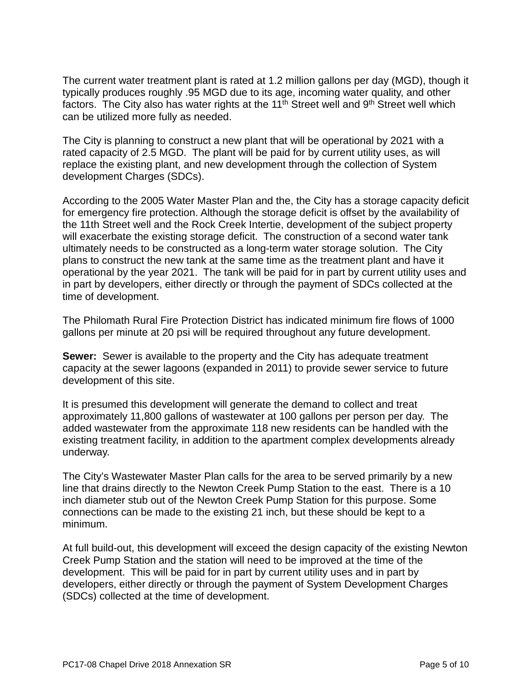The current water treatment plant is rated at 1.2 million gallons per day (MGD), though it typically produces roughly .95 MGD due to its age, incoming water quality, and other factors. The City also has water rights at the  $11<sup>th</sup>$  Street well and  $9<sup>th</sup>$  Street well which can be utilized more fully as needed.

The City is planning to construct a new plant that will be operational by 2021 with a rated capacity of 2.5 MGD. The plant will be paid for by current utility uses, as will replace the existing plant, and new development through the collection of System development Charges (SDCs).

According to the 2005 Water Master Plan and the, the City has a storage capacity deficit for emergency fire protection. Although the storage deficit is offset by the availability of the 11th Street well and the Rock Creek Intertie, development of the subject property will exacerbate the existing storage deficit. The construction of a second water tank ultimately needs to be constructed as a long-term water storage solution. The City plans to construct the new tank at the same time as the treatment plant and have it operational by the year 2021. The tank will be paid for in part by current utility uses and in part by developers, either directly or through the payment of SDCs collected at the time of development.

The Philomath Rural Fire Protection District has indicated minimum fire flows of 1000 gallons per minute at 20 psi will be required throughout any future development.

**Sewer:** Sewer is available to the property and the City has adequate treatment capacity at the sewer lagoons (expanded in 2011) to provide sewer service to future development of this site.

It is presumed this development will generate the demand to collect and treat approximately 11,800 gallons of wastewater at 100 gallons per person per day. The added wastewater from the approximate 118 new residents can be handled with the existing treatment facility, in addition to the apartment complex developments already underway.

The City's Wastewater Master Plan calls for the area to be served primarily by a new line that drains directly to the Newton Creek Pump Station to the east. There is a 10 inch diameter stub out of the Newton Creek Pump Station for this purpose. Some connections can be made to the existing 21 inch, but these should be kept to a minimum.

At full build-out, this development will exceed the design capacity of the existing Newton Creek Pump Station and the station will need to be improved at the time of the development. This will be paid for in part by current utility uses and in part by developers, either directly or through the payment of System Development Charges (SDCs) collected at the time of development.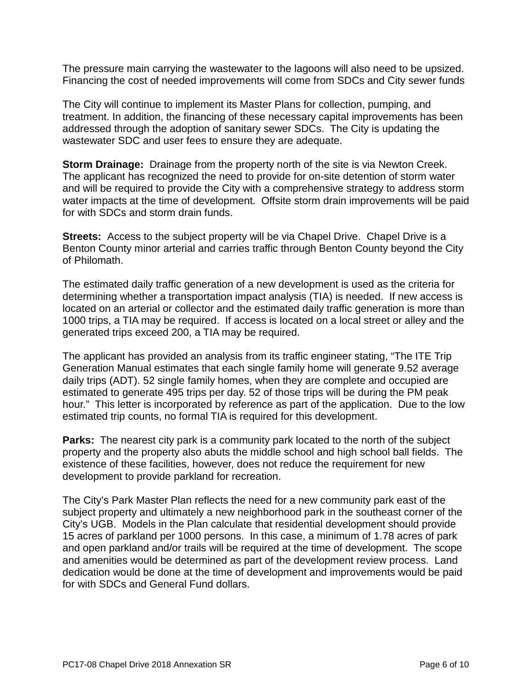The pressure main carrying the wastewater to the lagoons will also need to be upsized. Financing the cost of needed improvements will come from SDCs and City sewer funds

The City will continue to implement its Master Plans for collection, pumping, and treatment. In addition, the financing of these necessary capital improvements has been addressed through the adoption of sanitary sewer SDCs. The City is updating the wastewater SDC and user fees to ensure they are adequate.

**Storm Drainage:** Drainage from the property north of the site is via Newton Creek. The applicant has recognized the need to provide for on-site detention of storm water and will be required to provide the City with a comprehensive strategy to address storm water impacts at the time of development. Offsite storm drain improvements will be paid for with SDCs and storm drain funds.

**Streets:** Access to the subject property will be via Chapel Drive. Chapel Drive is a Benton County minor arterial and carries traffic through Benton County beyond the City of Philomath.

The estimated daily traffic generation of a new development is used as the criteria for determining whether a transportation impact analysis (TIA) is needed. If new access is located on an arterial or collector and the estimated daily traffic generation is more than 1000 trips, a TIA may be required. If access is located on a local street or alley and the generated trips exceed 200, a TIA may be required.

The applicant has provided an analysis from its traffic engineer stating, "The ITE Trip Generation Manual estimates that each single family home will generate 9.52 average daily trips (ADT). 52 single family homes, when they are complete and occupied are estimated to generate 495 trips per day. 52 of those trips will be during the PM peak hour." This letter is incorporated by reference as part of the application. Due to the low estimated trip counts, no formal TIA is required for this development.

**Parks:** The nearest city park is a community park located to the north of the subject property and the property also abuts the middle school and high school ball fields. The existence of these facilities, however, does not reduce the requirement for new development to provide parkland for recreation.

The City's Park Master Plan reflects the need for a new community park east of the subject property and ultimately a new neighborhood park in the southeast corner of the City's UGB. Models in the Plan calculate that residential development should provide 15 acres of parkland per 1000 persons. In this case, a minimum of 1.78 acres of park and open parkland and/or trails will be required at the time of development. The scope and amenities would be determined as part of the development review process. Land dedication would be done at the time of development and improvements would be paid for with SDCs and General Fund dollars.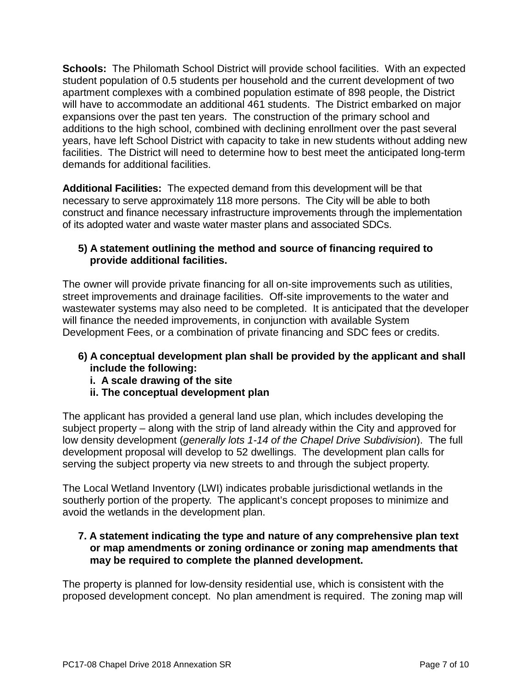**Schools:** The Philomath School District will provide school facilities. With an expected student population of 0.5 students per household and the current development of two apartment complexes with a combined population estimate of 898 people, the District will have to accommodate an additional 461 students. The District embarked on major expansions over the past ten years. The construction of the primary school and additions to the high school, combined with declining enrollment over the past several years, have left School District with capacity to take in new students without adding new facilities. The District will need to determine how to best meet the anticipated long-term demands for additional facilities.

**Additional Facilities:** The expected demand from this development will be that necessary to serve approximately 118 more persons. The City will be able to both construct and finance necessary infrastructure improvements through the implementation of its adopted water and waste water master plans and associated SDCs.

## **5) A statement outlining the method and source of financing required to provide additional facilities.**

The owner will provide private financing for all on-site improvements such as utilities, street improvements and drainage facilities. Off-site improvements to the water and wastewater systems may also need to be completed. It is anticipated that the developer will finance the needed improvements, in conjunction with available System Development Fees, or a combination of private financing and SDC fees or credits.

## **6) A conceptual development plan shall be provided by the applicant and shall include the following:**

- **i. A scale drawing of the site**
- **ii. The conceptual development plan**

The applicant has provided a general land use plan, which includes developing the subject property – along with the strip of land already within the City and approved for low density development (*generally lots 1-14 of the Chapel Drive Subdivision*). The full development proposal will develop to 52 dwellings. The development plan calls for serving the subject property via new streets to and through the subject property.

The Local Wetland Inventory (LWI) indicates probable jurisdictional wetlands in the southerly portion of the property. The applicant's concept proposes to minimize and avoid the wetlands in the development plan.

## **7. A statement indicating the type and nature of any comprehensive plan text or map amendments or zoning ordinance or zoning map amendments that may be required to complete the planned development.**

The property is planned for low-density residential use, which is consistent with the proposed development concept. No plan amendment is required. The zoning map will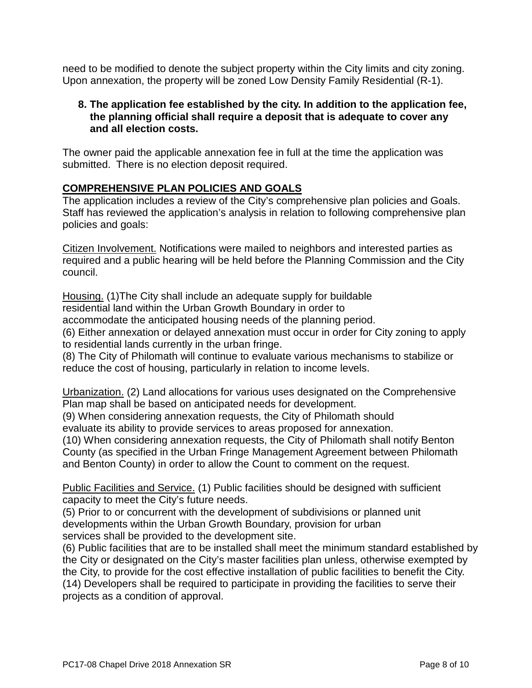need to be modified to denote the subject property within the City limits and city zoning. Upon annexation, the property will be zoned Low Density Family Residential (R-1).

## **8. The application fee established by the city. In addition to the application fee, the planning official shall require a deposit that is adequate to cover any and all election costs.**

The owner paid the applicable annexation fee in full at the time the application was submitted. There is no election deposit required.

## **COMPREHENSIVE PLAN POLICIES AND GOALS**

The application includes a review of the City's comprehensive plan policies and Goals. Staff has reviewed the application's analysis in relation to following comprehensive plan policies and goals:

Citizen Involvement. Notifications were mailed to neighbors and interested parties as required and a public hearing will be held before the Planning Commission and the City council.

Housing. (1)The City shall include an adequate supply for buildable residential land within the Urban Growth Boundary in order to accommodate the anticipated housing needs of the planning period. (6) Either annexation or delayed annexation must occur in order for City zoning to apply to residential lands currently in the urban fringe.

(8) The City of Philomath will continue to evaluate various mechanisms to stabilize or reduce the cost of housing, particularly in relation to income levels.

Urbanization. (2) Land allocations for various uses designated on the Comprehensive Plan map shall be based on anticipated needs for development.

(9) When considering annexation requests, the City of Philomath should evaluate its ability to provide services to areas proposed for annexation.

(10) When considering annexation requests, the City of Philomath shall notify Benton County (as specified in the Urban Fringe Management Agreement between Philomath and Benton County) in order to allow the Count to comment on the request.

Public Facilities and Service. (1) Public facilities should be designed with sufficient capacity to meet the City's future needs.

(5) Prior to or concurrent with the development of subdivisions or planned unit developments within the Urban Growth Boundary, provision for urban services shall be provided to the development site.

(6) Public facilities that are to be installed shall meet the minimum standard established by the City or designated on the City's master facilities plan unless, otherwise exempted by the City, to provide for the cost effective installation of public facilities to benefit the City. (14) Developers shall be required to participate in providing the facilities to serve their projects as a condition of approval.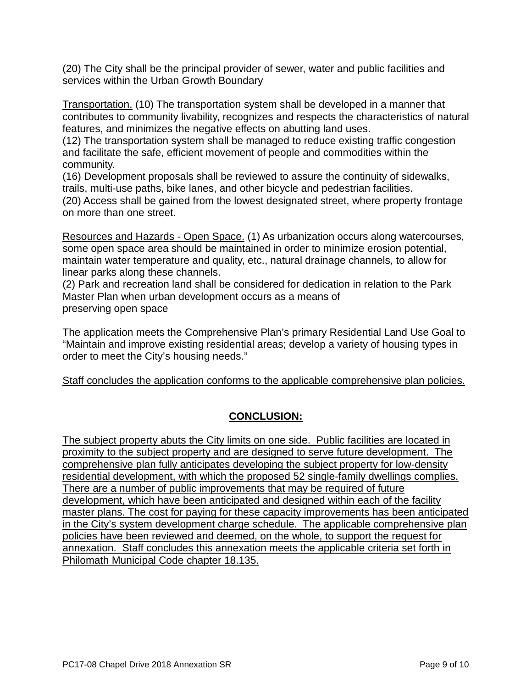(20) The City shall be the principal provider of sewer, water and public facilities and services within the Urban Growth Boundary

Transportation. (10) The transportation system shall be developed in a manner that contributes to community livability, recognizes and respects the characteristics of natural features, and minimizes the negative effects on abutting land uses.

(12) The transportation system shall be managed to reduce existing traffic congestion and facilitate the safe, efficient movement of people and commodities within the community.

(16) Development proposals shall be reviewed to assure the continuity of sidewalks, trails, multi-use paths, bike lanes, and other bicycle and pedestrian facilities.

(20) Access shall be gained from the lowest designated street, where property frontage on more than one street.

Resources and Hazards - Open Space. (1) As urbanization occurs along watercourses, some open space area should be maintained in order to minimize erosion potential, maintain water temperature and quality, etc., natural drainage channels, to allow for linear parks along these channels.

(2) Park and recreation land shall be considered for dedication in relation to the Park Master Plan when urban development occurs as a means of preserving open space

The application meets the Comprehensive Plan's primary Residential Land Use Goal to "Maintain and improve existing residential areas; develop a variety of housing types in order to meet the City's housing needs."

Staff concludes the application conforms to the applicable comprehensive plan policies.

# **CONCLUSION:**

The subject property abuts the City limits on one side. Public facilities are located in proximity to the subject property and are designed to serve future development. The comprehensive plan fully anticipates developing the subject property for low-density residential development, with which the proposed 52 single-family dwellings complies. There are a number of public improvements that may be required of future development, which have been anticipated and designed within each of the facility master plans. The cost for paying for these capacity improvements has been anticipated in the City's system development charge schedule. The applicable comprehensive plan policies have been reviewed and deemed, on the whole, to support the request for annexation. Staff concludes this annexation meets the applicable criteria set forth in Philomath Municipal Code chapter 18.135.